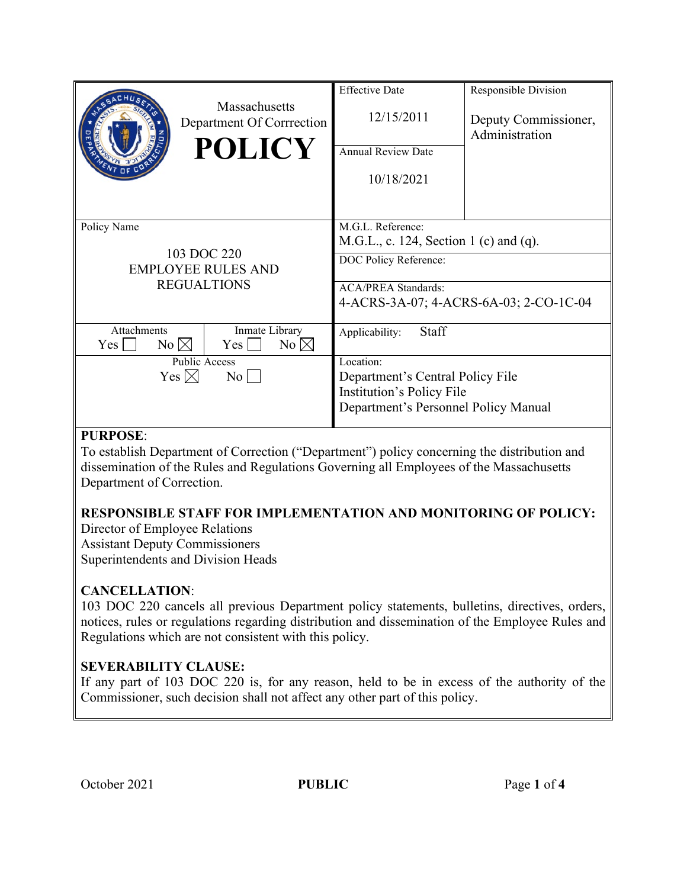|                                                                               | <b>Massachusetts</b><br>Department Of Corrrection<br><b>POLICY</b> | <b>Effective Date</b><br>12/15/2011<br><b>Annual Review Date</b><br>10/18/2021                                                                               | Responsible Division<br>Deputy Commissioner,<br>Administration |
|-------------------------------------------------------------------------------|--------------------------------------------------------------------|--------------------------------------------------------------------------------------------------------------------------------------------------------------|----------------------------------------------------------------|
| Policy Name<br>103 DOC 220<br><b>EMPLOYEE RULES AND</b><br><b>REGUALTIONS</b> |                                                                    | M.G.L. Reference:<br>M.G.L., c. 124, Section 1 (c) and (q).<br>DOC Policy Reference:<br><b>ACA/PREA Standards:</b><br>4-ACRS-3A-07; 4-ACRS-6A-03; 2-CO-1C-04 |                                                                |
| Attachments<br>$No \boxtimes$<br>Yes                                          | Inmate Library<br>No $\boxtimes$<br>$Yes \mid$                     | Staff<br>Applicability:                                                                                                                                      |                                                                |
| <b>Public Access</b><br>Yes $\boxtimes$<br>$\rm{No}$                          |                                                                    | Location:<br>Department's Central Policy File<br>Institution's Policy File<br>Department's Personnel Policy Manual                                           |                                                                |

### **PURPOSE**:

To establish Department of Correction ("Department") policy concerning the distribution and dissemination of the Rules and Regulations Governing all Employees of the Massachusetts Department of Correction.

## **RESPONSIBLE STAFF FOR IMPLEMENTATION AND MONITORING OF POLICY:**

Director of Employee Relations Assistant Deputy Commissioners Superintendents and Division Heads

## **CANCELLATION**:

103 DOC 220 cancels all previous Department policy statements, bulletins, directives, orders, notices, rules or regulations regarding distribution and dissemination of the Employee Rules and Regulations which are not consistent with this policy.

## **SEVERABILITY CLAUSE:**

If any part of 103 DOC 220 is, for any reason, held to be in excess of the authority of the Commissioner, such decision shall not affect any other part of this policy.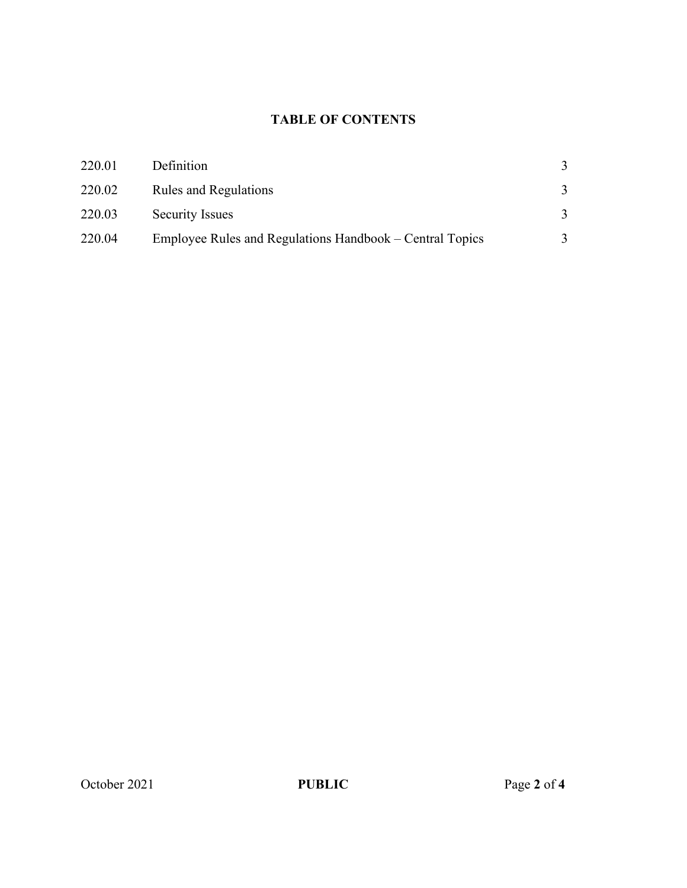# **TABLE OF CONTENTS**

| 220.01 | Definition                                               |   |
|--------|----------------------------------------------------------|---|
| 220.02 | <b>Rules and Regulations</b>                             | 3 |
| 220.03 | <b>Security Issues</b>                                   | 3 |
| 220.04 | Employee Rules and Regulations Handbook – Central Topics | 3 |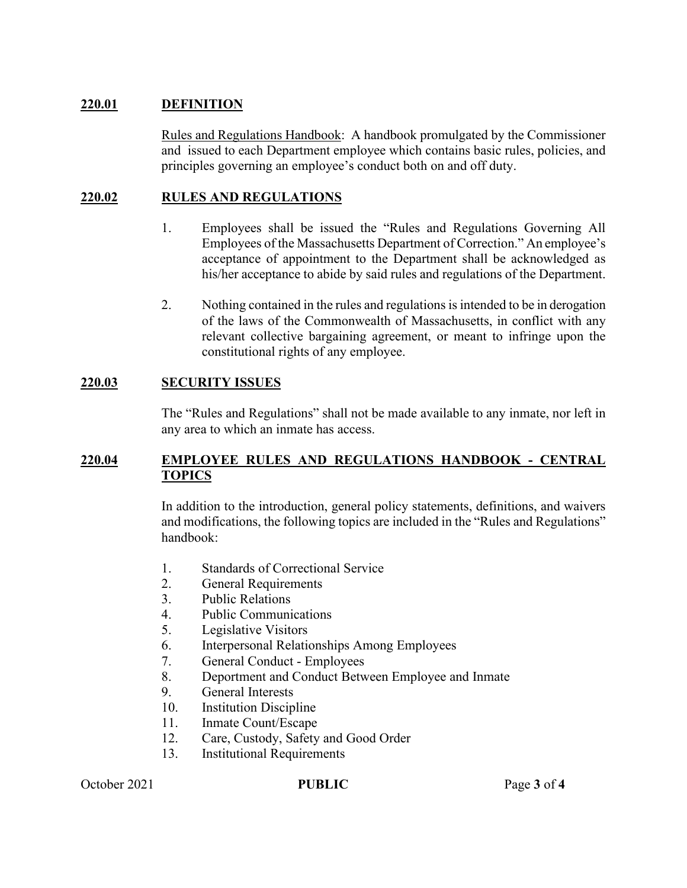#### **220.01 DEFINITION**

Rules and Regulations Handbook: A handbook promulgated by the Commissioner and issued to each Department employee which contains basic rules, policies, and principles governing an employee's conduct both on and off duty.

### **220.02 RULES AND REGULATIONS**

- 1. Employees shall be issued the "Rules and Regulations Governing All Employees of the Massachusetts Department of Correction." An employee's acceptance of appointment to the Department shall be acknowledged as his/her acceptance to abide by said rules and regulations of the Department.
- 2. Nothing contained in the rules and regulations is intended to be in derogation of the laws of the Commonwealth of Massachusetts, in conflict with any relevant collective bargaining agreement, or meant to infringe upon the constitutional rights of any employee.

### **220.03 SECURITY ISSUES**

The "Rules and Regulations" shall not be made available to any inmate, nor left in any area to which an inmate has access.

#### **220.04 EMPLOYEE RULES AND REGULATIONS HANDBOOK - CENTRAL TOPICS**

In addition to the introduction, general policy statements, definitions, and waivers and modifications, the following topics are included in the "Rules and Regulations" handbook:

- 1. Standards of Correctional Service
- 2. General Requirements
- 3. Public Relations
- 4. Public Communications
- 5. Legislative Visitors
- 6. Interpersonal Relationships Among Employees
- 7. General Conduct Employees
- 8. Deportment and Conduct Between Employee and Inmate
- 9. General Interests
- 10. Institution Discipline
- 11. Inmate Count/Escape
- 12. Care, Custody, Safety and Good Order
- 13. Institutional Requirements

October 2021 **PUBLIC** Page 3 of 4